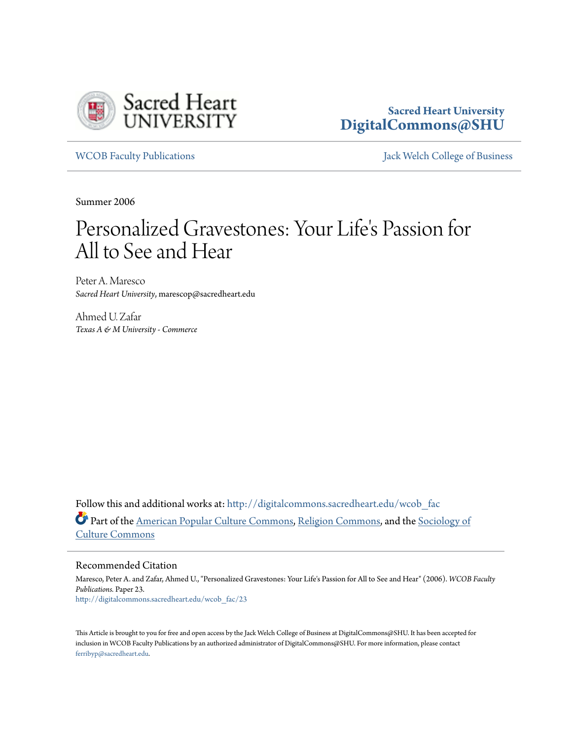

# **Sacred Heart University [DigitalCommons@SHU](http://digitalcommons.sacredheart.edu?utm_source=digitalcommons.sacredheart.edu%2Fwcob_fac%2F23&utm_medium=PDF&utm_campaign=PDFCoverPages)**

[WCOB Faculty Publications](http://digitalcommons.sacredheart.edu/wcob_fac?utm_source=digitalcommons.sacredheart.edu%2Fwcob_fac%2F23&utm_medium=PDF&utm_campaign=PDFCoverPages) [Jack Welch College of Business](http://digitalcommons.sacredheart.edu/wcob?utm_source=digitalcommons.sacredheart.edu%2Fwcob_fac%2F23&utm_medium=PDF&utm_campaign=PDFCoverPages)

Summer 2006

# Personalized Gravestones: Your Life's Passion for All to See and Hear

Peter A. Maresco *Sacred Heart University*, marescop@sacredheart.edu

Ahmed U. Zafar *Texas A & M University - Commerce*

Follow this and additional works at: [http://digitalcommons.sacredheart.edu/wcob\\_fac](http://digitalcommons.sacredheart.edu/wcob_fac?utm_source=digitalcommons.sacredheart.edu%2Fwcob_fac%2F23&utm_medium=PDF&utm_campaign=PDFCoverPages) Part of the [American Popular Culture Commons](http://network.bepress.com/hgg/discipline/443?utm_source=digitalcommons.sacredheart.edu%2Fwcob_fac%2F23&utm_medium=PDF&utm_campaign=PDFCoverPages), [Religion Commons](http://network.bepress.com/hgg/discipline/538?utm_source=digitalcommons.sacredheart.edu%2Fwcob_fac%2F23&utm_medium=PDF&utm_campaign=PDFCoverPages), and the [Sociology of](http://network.bepress.com/hgg/discipline/431?utm_source=digitalcommons.sacredheart.edu%2Fwcob_fac%2F23&utm_medium=PDF&utm_campaign=PDFCoverPages) [Culture Commons](http://network.bepress.com/hgg/discipline/431?utm_source=digitalcommons.sacredheart.edu%2Fwcob_fac%2F23&utm_medium=PDF&utm_campaign=PDFCoverPages)

Recommended Citation

Maresco, Peter A. and Zafar, Ahmed U., "Personalized Gravestones: Your Life's Passion for All to See and Hear" (2006). *WCOB Faculty Publications.* Paper 23. [http://digitalcommons.sacredheart.edu/wcob\\_fac/23](http://digitalcommons.sacredheart.edu/wcob_fac/23?utm_source=digitalcommons.sacredheart.edu%2Fwcob_fac%2F23&utm_medium=PDF&utm_campaign=PDFCoverPages)

This Article is brought to you for free and open access by the Jack Welch College of Business at DigitalCommons@SHU. It has been accepted for inclusion in WCOB Faculty Publications by an authorized administrator of DigitalCommons@SHU. For more information, please contact [ferribyp@sacredheart.edu](mailto:ferribyp@sacredheart.edu).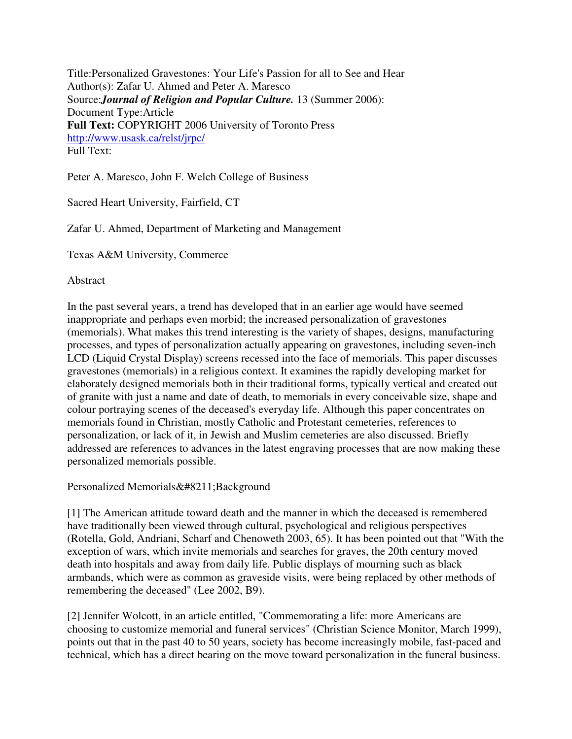Title:Personalized Gravestones: Your Life's Passion for all to See and Hear Author(s): Zafar U. Ahmed and Peter A. Maresco Source:*Journal of Religion and Popular Culture.* 13 (Summer 2006): Document Type:Article **Full Text:** COPYRIGHT 2006 University of Toronto Press http://www.usask.ca/relst/jrpc/ Full Text:

Peter A. Maresco, John F. Welch College of Business

Sacred Heart University, Fairfield, CT

Zafar U. Ahmed, Department of Marketing and Management

Texas A&M University, Commerce

Abstract

In the past several years, a trend has developed that in an earlier age would have seemed inappropriate and perhaps even morbid; the increased personalization of gravestones (memorials). What makes this trend interesting is the variety of shapes, designs, manufacturing processes, and types of personalization actually appearing on gravestones, including seven-inch LCD (Liquid Crystal Display) screens recessed into the face of memorials. This paper discusses gravestones (memorials) in a religious context. It examines the rapidly developing market for elaborately designed memorials both in their traditional forms, typically vertical and created out of granite with just a name and date of death, to memorials in every conceivable size, shape and colour portraying scenes of the deceased's everyday life. Although this paper concentrates on memorials found in Christian, mostly Catholic and Protestant cemeteries, references to personalization, or lack of it, in Jewish and Muslim cemeteries are also discussed. Briefly addressed are references to advances in the latest engraving processes that are now making these personalized memorials possible.

Personalized Memorials–Background

[1] The American attitude toward death and the manner in which the deceased is remembered have traditionally been viewed through cultural, psychological and religious perspectives (Rotella, Gold, Andriani, Scharf and Chenoweth 2003, 65). It has been pointed out that "With the exception of wars, which invite memorials and searches for graves, the 20th century moved death into hospitals and away from daily life. Public displays of mourning such as black armbands, which were as common as graveside visits, were being replaced by other methods of remembering the deceased" (Lee 2002, B9).

[2] Jennifer Wolcott, in an article entitled, "Commemorating a life: more Americans are choosing to customize memorial and funeral services" (Christian Science Monitor, March 1999), points out that in the past 40 to 50 years, society has become increasingly mobile, fast-paced and technical, which has a direct bearing on the move toward personalization in the funeral business.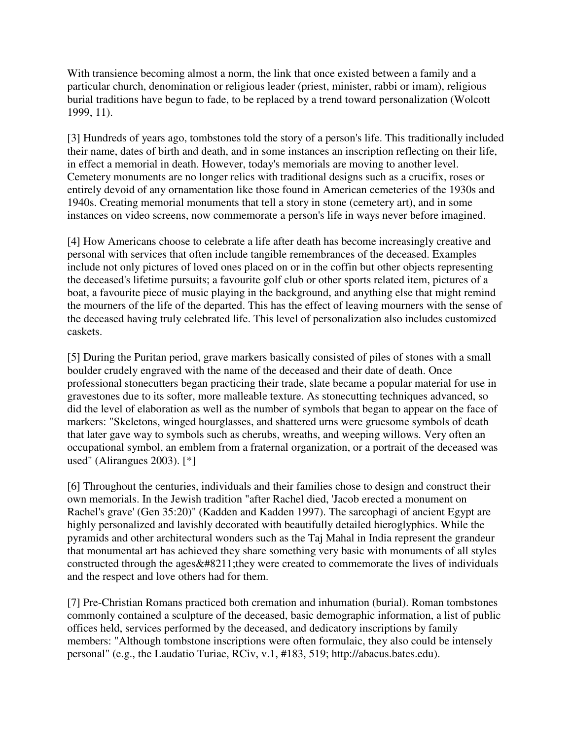With transience becoming almost a norm, the link that once existed between a family and a particular church, denomination or religious leader (priest, minister, rabbi or imam), religious burial traditions have begun to fade, to be replaced by a trend toward personalization (Wolcott 1999, 11).

[3] Hundreds of years ago, tombstones told the story of a person's life. This traditionally included their name, dates of birth and death, and in some instances an inscription reflecting on their life, in effect a memorial in death. However, today's memorials are moving to another level. Cemetery monuments are no longer relics with traditional designs such as a crucifix, roses or entirely devoid of any ornamentation like those found in American cemeteries of the 1930s and 1940s. Creating memorial monuments that tell a story in stone (cemetery art), and in some instances on video screens, now commemorate a person's life in ways never before imagined.

[4] How Americans choose to celebrate a life after death has become increasingly creative and personal with services that often include tangible remembrances of the deceased. Examples include not only pictures of loved ones placed on or in the coffin but other objects representing the deceased's lifetime pursuits; a favourite golf club or other sports related item, pictures of a boat, a favourite piece of music playing in the background, and anything else that might remind the mourners of the life of the departed. This has the effect of leaving mourners with the sense of the deceased having truly celebrated life. This level of personalization also includes customized caskets.

[5] During the Puritan period, grave markers basically consisted of piles of stones with a small boulder crudely engraved with the name of the deceased and their date of death. Once professional stonecutters began practicing their trade, slate became a popular material for use in gravestones due to its softer, more malleable texture. As stonecutting techniques advanced, so did the level of elaboration as well as the number of symbols that began to appear on the face of markers: "Skeletons, winged hourglasses, and shattered urns were gruesome symbols of death that later gave way to symbols such as cherubs, wreaths, and weeping willows. Very often an occupational symbol, an emblem from a fraternal organization, or a portrait of the deceased was used" (Alirangues 2003). [\*]

[6] Throughout the centuries, individuals and their families chose to design and construct their own memorials. In the Jewish tradition "after Rachel died, 'Jacob erected a monument on Rachel's grave' (Gen 35:20)" (Kadden and Kadden 1997). The sarcophagi of ancient Egypt are highly personalized and lavishly decorated with beautifully detailed hieroglyphics. While the pyramids and other architectural wonders such as the Taj Mahal in India represent the grandeur that monumental art has achieved they share something very basic with monuments of all styles constructed through the ages $&\#8211$ ; they were created to commemorate the lives of individuals and the respect and love others had for them.

[7] Pre-Christian Romans practiced both cremation and inhumation (burial). Roman tombstones commonly contained a sculpture of the deceased, basic demographic information, a list of public offices held, services performed by the deceased, and dedicatory inscriptions by family members: "Although tombstone inscriptions were often formulaic, they also could be intensely personal" (e.g., the Laudatio Turiae, RCiv, v.1, #183, 519; http://abacus.bates.edu).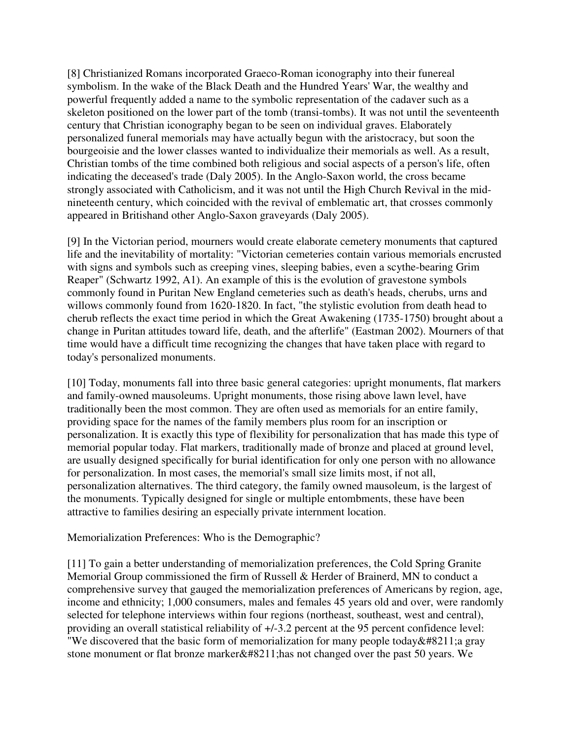[8] Christianized Romans incorporated Graeco-Roman iconography into their funereal symbolism. In the wake of the Black Death and the Hundred Years' War, the wealthy and powerful frequently added a name to the symbolic representation of the cadaver such as a skeleton positioned on the lower part of the tomb (transi-tombs). It was not until the seventeenth century that Christian iconography began to be seen on individual graves. Elaborately personalized funeral memorials may have actually begun with the aristocracy, but soon the bourgeoisie and the lower classes wanted to individualize their memorials as well. As a result, Christian tombs of the time combined both religious and social aspects of a person's life, often indicating the deceased's trade (Daly 2005). In the Anglo-Saxon world, the cross became strongly associated with Catholicism, and it was not until the High Church Revival in the midnineteenth century, which coincided with the revival of emblematic art, that crosses commonly appeared in Britishand other Anglo-Saxon graveyards (Daly 2005).

[9] In the Victorian period, mourners would create elaborate cemetery monuments that captured life and the inevitability of mortality: "Victorian cemeteries contain various memorials encrusted with signs and symbols such as creeping vines, sleeping babies, even a scythe-bearing Grim Reaper" (Schwartz 1992, A1). An example of this is the evolution of gravestone symbols commonly found in Puritan New England cemeteries such as death's heads, cherubs, urns and willows commonly found from 1620-1820. In fact, "the stylistic evolution from death head to cherub reflects the exact time period in which the Great Awakening (1735-1750) brought about a change in Puritan attitudes toward life, death, and the afterlife" (Eastman 2002). Mourners of that time would have a difficult time recognizing the changes that have taken place with regard to today's personalized monuments.

[10] Today, monuments fall into three basic general categories: upright monuments, flat markers and family-owned mausoleums. Upright monuments, those rising above lawn level, have traditionally been the most common. They are often used as memorials for an entire family, providing space for the names of the family members plus room for an inscription or personalization. It is exactly this type of flexibility for personalization that has made this type of memorial popular today. Flat markers, traditionally made of bronze and placed at ground level, are usually designed specifically for burial identification for only one person with no allowance for personalization. In most cases, the memorial's small size limits most, if not all, personalization alternatives. The third category, the family owned mausoleum, is the largest of the monuments. Typically designed for single or multiple entombments, these have been attractive to families desiring an especially private internment location.

# Memorialization Preferences: Who is the Demographic?

[11] To gain a better understanding of memorialization preferences, the Cold Spring Granite Memorial Group commissioned the firm of Russell & Herder of Brainerd, MN to conduct a comprehensive survey that gauged the memorialization preferences of Americans by region, age, income and ethnicity; 1,000 consumers, males and females 45 years old and over, were randomly selected for telephone interviews within four regions (northeast, southeast, west and central), providing an overall statistical reliability of +/-3.2 percent at the 95 percent confidence level: "We discovered that the basic form of memorialization for many people today $&\#8211;$ a gray stone monument or flat bronze marker $&\#8211$ ; has not changed over the past 50 years. We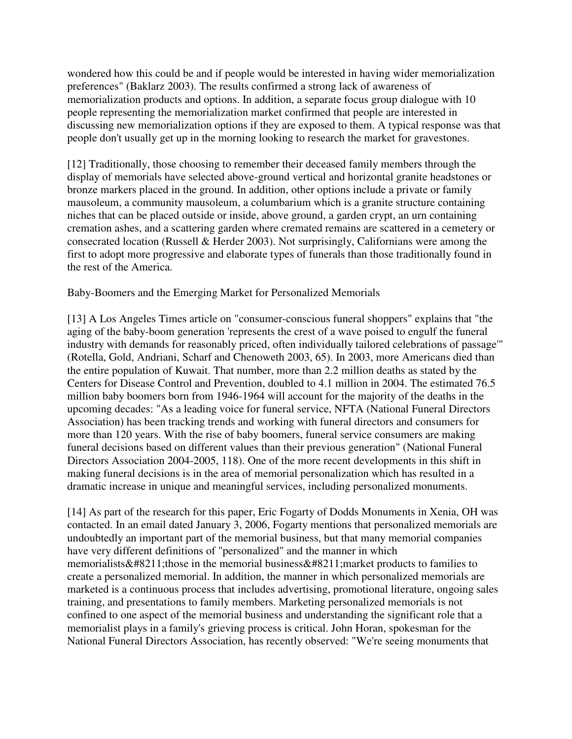wondered how this could be and if people would be interested in having wider memorialization preferences" (Baklarz 2003). The results confirmed a strong lack of awareness of memorialization products and options. In addition, a separate focus group dialogue with 10 people representing the memorialization market confirmed that people are interested in discussing new memorialization options if they are exposed to them. A typical response was that people don't usually get up in the morning looking to research the market for gravestones.

[12] Traditionally, those choosing to remember their deceased family members through the display of memorials have selected above-ground vertical and horizontal granite headstones or bronze markers placed in the ground. In addition, other options include a private or family mausoleum, a community mausoleum, a columbarium which is a granite structure containing niches that can be placed outside or inside, above ground, a garden crypt, an urn containing cremation ashes, and a scattering garden where cremated remains are scattered in a cemetery or consecrated location (Russell & Herder 2003). Not surprisingly, Californians were among the first to adopt more progressive and elaborate types of funerals than those traditionally found in the rest of the America.

Baby-Boomers and the Emerging Market for Personalized Memorials

[13] A Los Angeles Times article on "consumer-conscious funeral shoppers" explains that "the aging of the baby-boom generation 'represents the crest of a wave poised to engulf the funeral industry with demands for reasonably priced, often individually tailored celebrations of passage'" (Rotella, Gold, Andriani, Scharf and Chenoweth 2003, 65). In 2003, more Americans died than the entire population of Kuwait. That number, more than 2.2 million deaths as stated by the Centers for Disease Control and Prevention, doubled to 4.1 million in 2004. The estimated 76.5 million baby boomers born from 1946-1964 will account for the majority of the deaths in the upcoming decades: "As a leading voice for funeral service, NFTA (National Funeral Directors Association) has been tracking trends and working with funeral directors and consumers for more than 120 years. With the rise of baby boomers, funeral service consumers are making funeral decisions based on different values than their previous generation" (National Funeral Directors Association 2004-2005, 118). One of the more recent developments in this shift in making funeral decisions is in the area of memorial personalization which has resulted in a dramatic increase in unique and meaningful services, including personalized monuments.

[14] As part of the research for this paper, Eric Fogarty of Dodds Monuments in Xenia, OH was contacted. In an email dated January 3, 2006, Fogarty mentions that personalized memorials are undoubtedly an important part of the memorial business, but that many memorial companies have very different definitions of "personalized" and the manner in which memorialists $&\#8211$ ; those in the memorial business $&\#8211$ ; market products to families to create a personalized memorial. In addition, the manner in which personalized memorials are marketed is a continuous process that includes advertising, promotional literature, ongoing sales training, and presentations to family members. Marketing personalized memorials is not confined to one aspect of the memorial business and understanding the significant role that a memorialist plays in a family's grieving process is critical. John Horan, spokesman for the National Funeral Directors Association, has recently observed: "We're seeing monuments that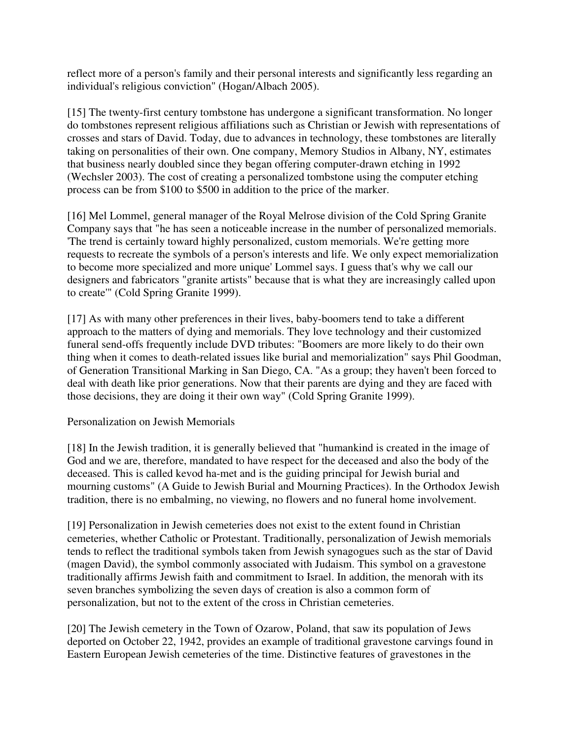reflect more of a person's family and their personal interests and significantly less regarding an individual's religious conviction" (Hogan/Albach 2005).

[15] The twenty-first century tombstone has undergone a significant transformation. No longer do tombstones represent religious affiliations such as Christian or Jewish with representations of crosses and stars of David. Today, due to advances in technology, these tombstones are literally taking on personalities of their own. One company, Memory Studios in Albany, NY, estimates that business nearly doubled since they began offering computer-drawn etching in 1992 (Wechsler 2003). The cost of creating a personalized tombstone using the computer etching process can be from \$100 to \$500 in addition to the price of the marker.

[16] Mel Lommel, general manager of the Royal Melrose division of the Cold Spring Granite Company says that "he has seen a noticeable increase in the number of personalized memorials. 'The trend is certainly toward highly personalized, custom memorials. We're getting more requests to recreate the symbols of a person's interests and life. We only expect memorialization to become more specialized and more unique' Lommel says. I guess that's why we call our designers and fabricators "granite artists" because that is what they are increasingly called upon to create'" (Cold Spring Granite 1999).

[17] As with many other preferences in their lives, baby-boomers tend to take a different approach to the matters of dying and memorials. They love technology and their customized funeral send-offs frequently include DVD tributes: "Boomers are more likely to do their own thing when it comes to death-related issues like burial and memorialization" says Phil Goodman, of Generation Transitional Marking in San Diego, CA. "As a group; they haven't been forced to deal with death like prior generations. Now that their parents are dying and they are faced with those decisions, they are doing it their own way" (Cold Spring Granite 1999).

# Personalization on Jewish Memorials

[18] In the Jewish tradition, it is generally believed that "humankind is created in the image of God and we are, therefore, mandated to have respect for the deceased and also the body of the deceased. This is called kevod ha-met and is the guiding principal for Jewish burial and mourning customs" (A Guide to Jewish Burial and Mourning Practices). In the Orthodox Jewish tradition, there is no embalming, no viewing, no flowers and no funeral home involvement.

[19] Personalization in Jewish cemeteries does not exist to the extent found in Christian cemeteries, whether Catholic or Protestant. Traditionally, personalization of Jewish memorials tends to reflect the traditional symbols taken from Jewish synagogues such as the star of David (magen David), the symbol commonly associated with Judaism. This symbol on a gravestone traditionally affirms Jewish faith and commitment to Israel. In addition, the menorah with its seven branches symbolizing the seven days of creation is also a common form of personalization, but not to the extent of the cross in Christian cemeteries.

[20] The Jewish cemetery in the Town of Ozarow, Poland, that saw its population of Jews deported on October 22, 1942, provides an example of traditional gravestone carvings found in Eastern European Jewish cemeteries of the time. Distinctive features of gravestones in the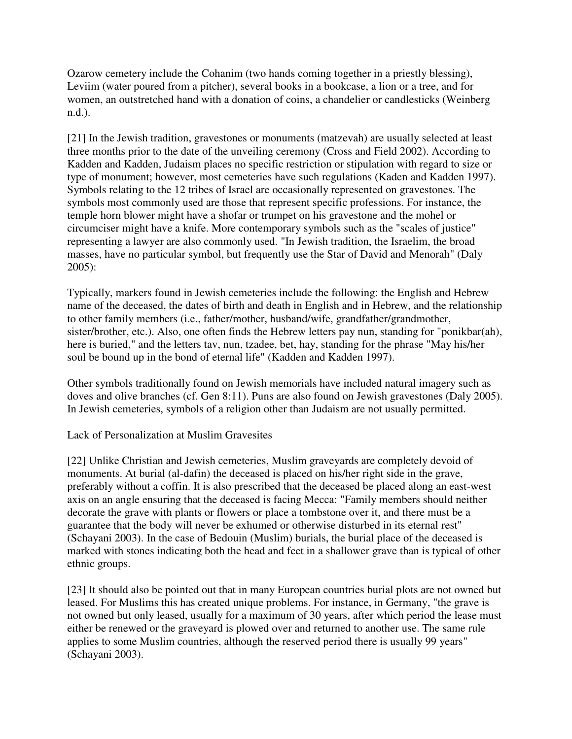Ozarow cemetery include the Cohanim (two hands coming together in a priestly blessing), Leviim (water poured from a pitcher), several books in a bookcase, a lion or a tree, and for women, an outstretched hand with a donation of coins, a chandelier or candlesticks (Weinberg n.d.).

[21] In the Jewish tradition, gravestones or monuments (matzevah) are usually selected at least three months prior to the date of the unveiling ceremony (Cross and Field 2002). According to Kadden and Kadden, Judaism places no specific restriction or stipulation with regard to size or type of monument; however, most cemeteries have such regulations (Kaden and Kadden 1997). Symbols relating to the 12 tribes of Israel are occasionally represented on gravestones. The symbols most commonly used are those that represent specific professions. For instance, the temple horn blower might have a shofar or trumpet on his gravestone and the mohel or circumciser might have a knife. More contemporary symbols such as the "scales of justice" representing a lawyer are also commonly used. "In Jewish tradition, the Israelim, the broad masses, have no particular symbol, but frequently use the Star of David and Menorah" (Daly 2005):

Typically, markers found in Jewish cemeteries include the following: the English and Hebrew name of the deceased, the dates of birth and death in English and in Hebrew, and the relationship to other family members (i.e., father/mother, husband/wife, grandfather/grandmother, sister/brother, etc.). Also, one often finds the Hebrew letters pay nun, standing for "ponikbar(ah), here is buried," and the letters tav, nun, tzadee, bet, hay, standing for the phrase "May his/her soul be bound up in the bond of eternal life" (Kadden and Kadden 1997).

Other symbols traditionally found on Jewish memorials have included natural imagery such as doves and olive branches (cf. Gen 8:11). Puns are also found on Jewish gravestones (Daly 2005). In Jewish cemeteries, symbols of a religion other than Judaism are not usually permitted.

Lack of Personalization at Muslim Gravesites

[22] Unlike Christian and Jewish cemeteries, Muslim graveyards are completely devoid of monuments. At burial (al-dafin) the deceased is placed on his/her right side in the grave, preferably without a coffin. It is also prescribed that the deceased be placed along an east-west axis on an angle ensuring that the deceased is facing Mecca: "Family members should neither decorate the grave with plants or flowers or place a tombstone over it, and there must be a guarantee that the body will never be exhumed or otherwise disturbed in its eternal rest" (Schayani 2003). In the case of Bedouin (Muslim) burials, the burial place of the deceased is marked with stones indicating both the head and feet in a shallower grave than is typical of other ethnic groups.

[23] It should also be pointed out that in many European countries burial plots are not owned but leased. For Muslims this has created unique problems. For instance, in Germany, "the grave is not owned but only leased, usually for a maximum of 30 years, after which period the lease must either be renewed or the graveyard is plowed over and returned to another use. The same rule applies to some Muslim countries, although the reserved period there is usually 99 years" (Schayani 2003).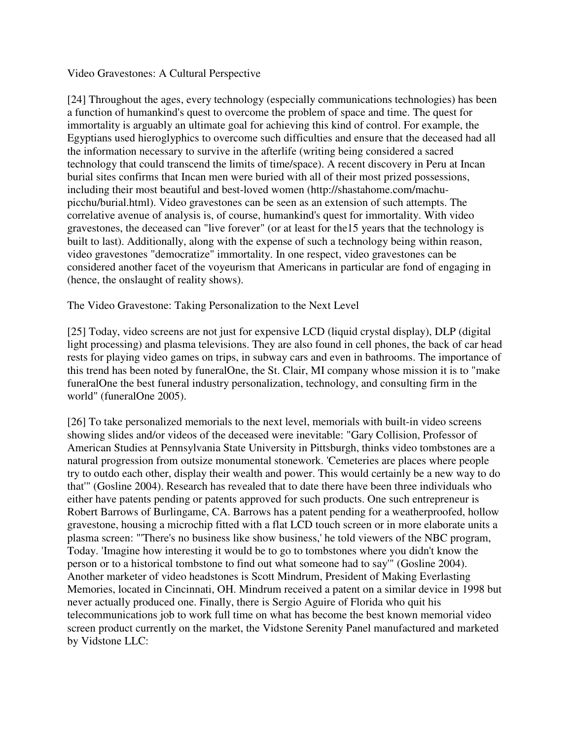#### Video Gravestones: A Cultural Perspective

[24] Throughout the ages, every technology (especially communications technologies) has been a function of humankind's quest to overcome the problem of space and time. The quest for immortality is arguably an ultimate goal for achieving this kind of control. For example, the Egyptians used hieroglyphics to overcome such difficulties and ensure that the deceased had all the information necessary to survive in the afterlife (writing being considered a sacred technology that could transcend the limits of time/space). A recent discovery in Peru at Incan burial sites confirms that Incan men were buried with all of their most prized possessions, including their most beautiful and best-loved women (http://shastahome.com/machupicchu/burial.html). Video gravestones can be seen as an extension of such attempts. The correlative avenue of analysis is, of course, humankind's quest for immortality. With video gravestones, the deceased can "live forever" (or at least for the15 years that the technology is built to last). Additionally, along with the expense of such a technology being within reason, video gravestones "democratize" immortality. In one respect, video gravestones can be considered another facet of the voyeurism that Americans in particular are fond of engaging in (hence, the onslaught of reality shows).

The Video Gravestone: Taking Personalization to the Next Level

[25] Today, video screens are not just for expensive LCD (liquid crystal display), DLP (digital light processing) and plasma televisions. They are also found in cell phones, the back of car head rests for playing video games on trips, in subway cars and even in bathrooms. The importance of this trend has been noted by funeralOne, the St. Clair, MI company whose mission it is to "make funeralOne the best funeral industry personalization, technology, and consulting firm in the world" (funeralOne 2005).

[26] To take personalized memorials to the next level, memorials with built-in video screens showing slides and/or videos of the deceased were inevitable: "Gary Collision, Professor of American Studies at Pennsylvania State University in Pittsburgh, thinks video tombstones are a natural progression from outsize monumental stonework. 'Cemeteries are places where people try to outdo each other, display their wealth and power. This would certainly be a new way to do that'" (Gosline 2004). Research has revealed that to date there have been three individuals who either have patents pending or patents approved for such products. One such entrepreneur is Robert Barrows of Burlingame, CA. Barrows has a patent pending for a weatherproofed, hollow gravestone, housing a microchip fitted with a flat LCD touch screen or in more elaborate units a plasma screen: "'There's no business like show business,' he told viewers of the NBC program, Today. 'Imagine how interesting it would be to go to tombstones where you didn't know the person or to a historical tombstone to find out what someone had to say'" (Gosline 2004). Another marketer of video headstones is Scott Mindrum, President of Making Everlasting Memories, located in Cincinnati, OH. Mindrum received a patent on a similar device in 1998 but never actually produced one. Finally, there is Sergio Aguire of Florida who quit his telecommunications job to work full time on what has become the best known memorial video screen product currently on the market, the Vidstone Serenity Panel manufactured and marketed by Vidstone LLC: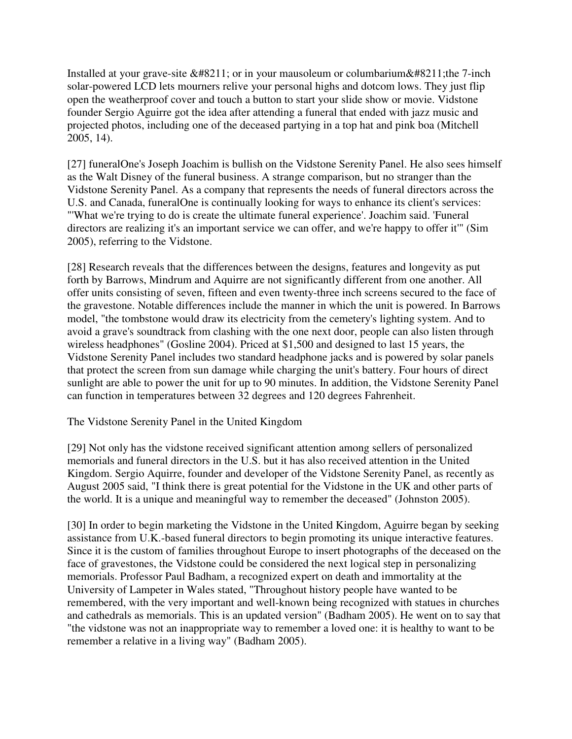Installed at your grave-site – or in your mausoleum or columbarium– the 7-inch solar-powered LCD lets mourners relive your personal highs and dotcom lows. They just flip open the weatherproof cover and touch a button to start your slide show or movie. Vidstone founder Sergio Aguirre got the idea after attending a funeral that ended with jazz music and projected photos, including one of the deceased partying in a top hat and pink boa (Mitchell 2005, 14).

[27] funeralOne's Joseph Joachim is bullish on the Vidstone Serenity Panel. He also sees himself as the Walt Disney of the funeral business. A strange comparison, but no stranger than the Vidstone Serenity Panel. As a company that represents the needs of funeral directors across the U.S. and Canada, funeralOne is continually looking for ways to enhance its client's services: "'What we're trying to do is create the ultimate funeral experience'. Joachim said. 'Funeral directors are realizing it's an important service we can offer, and we're happy to offer it'" (Sim 2005), referring to the Vidstone.

[28] Research reveals that the differences between the designs, features and longevity as put forth by Barrows, Mindrum and Aquirre are not significantly different from one another. All offer units consisting of seven, fifteen and even twenty-three inch screens secured to the face of the gravestone. Notable differences include the manner in which the unit is powered. In Barrows model, "the tombstone would draw its electricity from the cemetery's lighting system. And to avoid a grave's soundtrack from clashing with the one next door, people can also listen through wireless headphones" (Gosline 2004). Priced at \$1,500 and designed to last 15 years, the Vidstone Serenity Panel includes two standard headphone jacks and is powered by solar panels that protect the screen from sun damage while charging the unit's battery. Four hours of direct sunlight are able to power the unit for up to 90 minutes. In addition, the Vidstone Serenity Panel can function in temperatures between 32 degrees and 120 degrees Fahrenheit.

# The Vidstone Serenity Panel in the United Kingdom

[29] Not only has the vidstone received significant attention among sellers of personalized memorials and funeral directors in the U.S. but it has also received attention in the United Kingdom. Sergio Aquirre, founder and developer of the Vidstone Serenity Panel, as recently as August 2005 said, "I think there is great potential for the Vidstone in the UK and other parts of the world. It is a unique and meaningful way to remember the deceased" (Johnston 2005).

[30] In order to begin marketing the Vidstone in the United Kingdom, Aguirre began by seeking assistance from U.K.-based funeral directors to begin promoting its unique interactive features. Since it is the custom of families throughout Europe to insert photographs of the deceased on the face of gravestones, the Vidstone could be considered the next logical step in personalizing memorials. Professor Paul Badham, a recognized expert on death and immortality at the University of Lampeter in Wales stated, "Throughout history people have wanted to be remembered, with the very important and well-known being recognized with statues in churches and cathedrals as memorials. This is an updated version" (Badham 2005). He went on to say that "the vidstone was not an inappropriate way to remember a loved one: it is healthy to want to be remember a relative in a living way" (Badham 2005).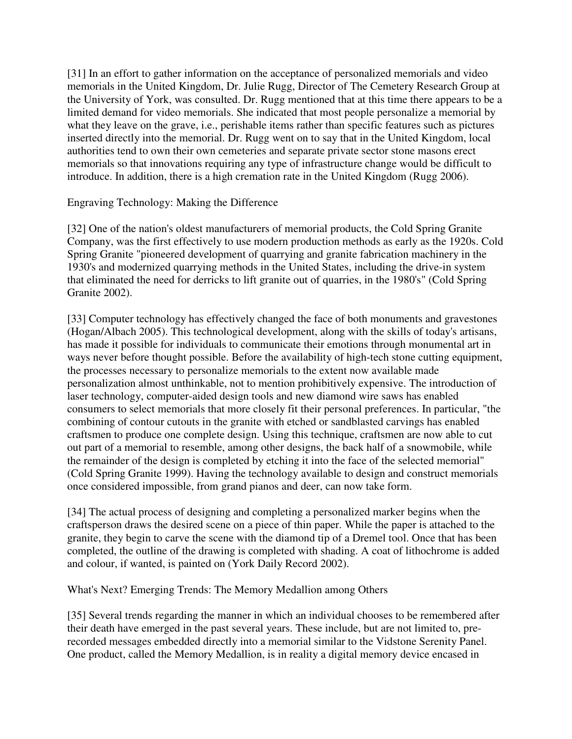[31] In an effort to gather information on the acceptance of personalized memorials and video memorials in the United Kingdom, Dr. Julie Rugg, Director of The Cemetery Research Group at the University of York, was consulted. Dr. Rugg mentioned that at this time there appears to be a limited demand for video memorials. She indicated that most people personalize a memorial by what they leave on the grave, i.e., perishable items rather than specific features such as pictures inserted directly into the memorial. Dr. Rugg went on to say that in the United Kingdom, local authorities tend to own their own cemeteries and separate private sector stone masons erect memorials so that innovations requiring any type of infrastructure change would be difficult to introduce. In addition, there is a high cremation rate in the United Kingdom (Rugg 2006).

Engraving Technology: Making the Difference

[32] One of the nation's oldest manufacturers of memorial products, the Cold Spring Granite Company, was the first effectively to use modern production methods as early as the 1920s. Cold Spring Granite "pioneered development of quarrying and granite fabrication machinery in the 1930's and modernized quarrying methods in the United States, including the drive-in system that eliminated the need for derricks to lift granite out of quarries, in the 1980's" (Cold Spring Granite 2002).

[33] Computer technology has effectively changed the face of both monuments and gravestones (Hogan/Albach 2005). This technological development, along with the skills of today's artisans, has made it possible for individuals to communicate their emotions through monumental art in ways never before thought possible. Before the availability of high-tech stone cutting equipment, the processes necessary to personalize memorials to the extent now available made personalization almost unthinkable, not to mention prohibitively expensive. The introduction of laser technology, computer-aided design tools and new diamond wire saws has enabled consumers to select memorials that more closely fit their personal preferences. In particular, "the combining of contour cutouts in the granite with etched or sandblasted carvings has enabled craftsmen to produce one complete design. Using this technique, craftsmen are now able to cut out part of a memorial to resemble, among other designs, the back half of a snowmobile, while the remainder of the design is completed by etching it into the face of the selected memorial" (Cold Spring Granite 1999). Having the technology available to design and construct memorials once considered impossible, from grand pianos and deer, can now take form.

[34] The actual process of designing and completing a personalized marker begins when the craftsperson draws the desired scene on a piece of thin paper. While the paper is attached to the granite, they begin to carve the scene with the diamond tip of a Dremel tool. Once that has been completed, the outline of the drawing is completed with shading. A coat of lithochrome is added and colour, if wanted, is painted on (York Daily Record 2002).

What's Next? Emerging Trends: The Memory Medallion among Others

[35] Several trends regarding the manner in which an individual chooses to be remembered after their death have emerged in the past several years. These include, but are not limited to, prerecorded messages embedded directly into a memorial similar to the Vidstone Serenity Panel. One product, called the Memory Medallion, is in reality a digital memory device encased in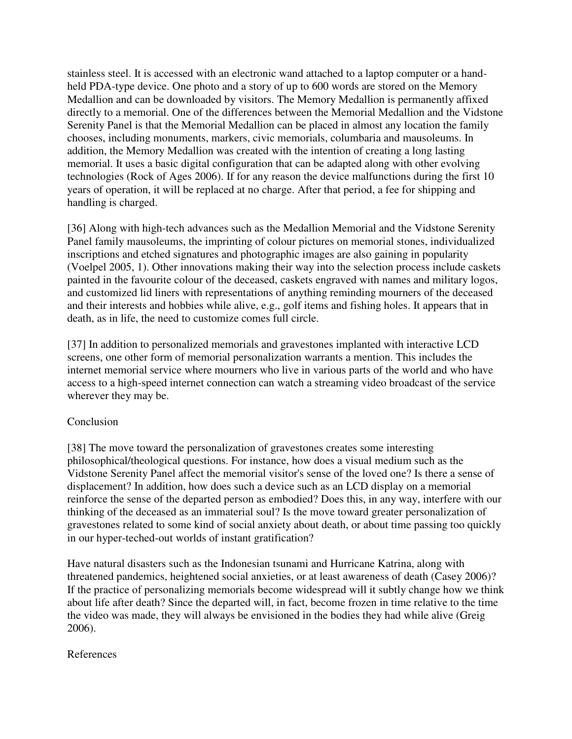stainless steel. It is accessed with an electronic wand attached to a laptop computer or a handheld PDA-type device. One photo and a story of up to 600 words are stored on the Memory Medallion and can be downloaded by visitors. The Memory Medallion is permanently affixed directly to a memorial. One of the differences between the Memorial Medallion and the Vidstone Serenity Panel is that the Memorial Medallion can be placed in almost any location the family chooses, including monuments, markers, civic memorials, columbaria and mausoleums. In addition, the Memory Medallion was created with the intention of creating a long lasting memorial. It uses a basic digital configuration that can be adapted along with other evolving technologies (Rock of Ages 2006). If for any reason the device malfunctions during the first 10 years of operation, it will be replaced at no charge. After that period, a fee for shipping and handling is charged.

[36] Along with high-tech advances such as the Medallion Memorial and the Vidstone Serenity Panel family mausoleums, the imprinting of colour pictures on memorial stones, individualized inscriptions and etched signatures and photographic images are also gaining in popularity (Voelpel 2005, 1). Other innovations making their way into the selection process include caskets painted in the favourite colour of the deceased, caskets engraved with names and military logos, and customized lid liners with representations of anything reminding mourners of the deceased and their interests and hobbies while alive, e.g., golf items and fishing holes. It appears that in death, as in life, the need to customize comes full circle.

[37] In addition to personalized memorials and gravestones implanted with interactive LCD screens, one other form of memorial personalization warrants a mention. This includes the internet memorial service where mourners who live in various parts of the world and who have access to a high-speed internet connection can watch a streaming video broadcast of the service wherever they may be.

# **Conclusion**

[38] The move toward the personalization of gravestones creates some interesting philosophical/theological questions. For instance, how does a visual medium such as the Vidstone Serenity Panel affect the memorial visitor's sense of the loved one? Is there a sense of displacement? In addition, how does such a device such as an LCD display on a memorial reinforce the sense of the departed person as embodied? Does this, in any way, interfere with our thinking of the deceased as an immaterial soul? Is the move toward greater personalization of gravestones related to some kind of social anxiety about death, or about time passing too quickly in our hyper-teched-out worlds of instant gratification?

Have natural disasters such as the Indonesian tsunami and Hurricane Katrina, along with threatened pandemics, heightened social anxieties, or at least awareness of death (Casey 2006)? If the practice of personalizing memorials become widespread will it subtly change how we think about life after death? Since the departed will, in fact, become frozen in time relative to the time the video was made, they will always be envisioned in the bodies they had while alive (Greig 2006).

# References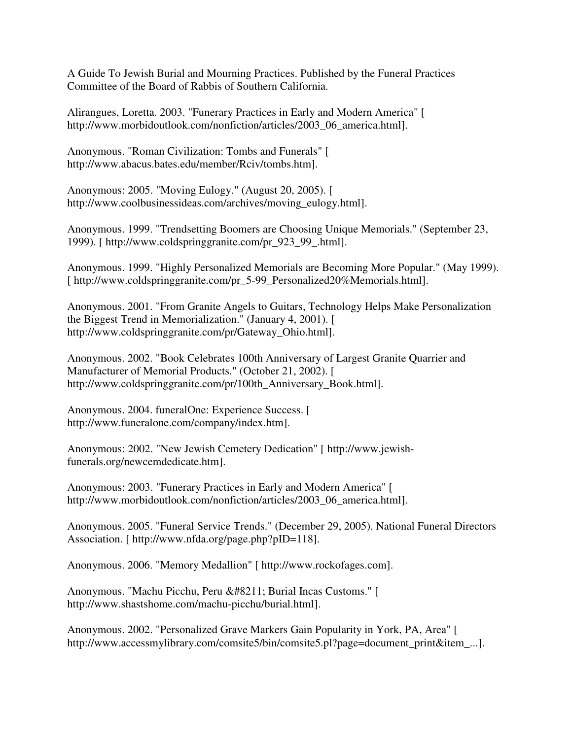A Guide To Jewish Burial and Mourning Practices. Published by the Funeral Practices Committee of the Board of Rabbis of Southern California.

Alirangues, Loretta. 2003. "Funerary Practices in Early and Modern America" [ http://www.morbidoutlook.com/nonfiction/articles/2003\_06\_america.html].

Anonymous. "Roman Civilization: Tombs and Funerals" [ http://www.abacus.bates.edu/member/Rciv/tombs.htm].

Anonymous: 2005. "Moving Eulogy." (August 20, 2005). [ http://www.coolbusinessideas.com/archives/moving\_eulogy.html].

Anonymous. 1999. "Trendsetting Boomers are Choosing Unique Memorials." (September 23, 1999). [ http://www.coldspringgranite.com/pr\_923\_99\_.html].

Anonymous. 1999. "Highly Personalized Memorials are Becoming More Popular." (May 1999). [ http://www.coldspringgranite.com/pr\_5-99\_Personalized20%Memorials.html].

Anonymous. 2001. "From Granite Angels to Guitars, Technology Helps Make Personalization the Biggest Trend in Memorialization." (January 4, 2001). [ http://www.coldspringgranite.com/pr/Gateway\_Ohio.html].

Anonymous. 2002. "Book Celebrates 100th Anniversary of Largest Granite Quarrier and Manufacturer of Memorial Products." (October 21, 2002). [ http://www.coldspringgranite.com/pr/100th\_Anniversary\_Book.html].

Anonymous. 2004. funeralOne: Experience Success. [ http://www.funeralone.com/company/index.htm].

Anonymous: 2002. "New Jewish Cemetery Dedication" [ http://www.jewishfunerals.org/newcemdedicate.htm].

Anonymous: 2003. "Funerary Practices in Early and Modern America" [ http://www.morbidoutlook.com/nonfiction/articles/2003\_06\_america.html].

Anonymous. 2005. "Funeral Service Trends." (December 29, 2005). National Funeral Directors Association. [ http://www.nfda.org/page.php?pID=118].

Anonymous. 2006. "Memory Medallion" [ http://www.rockofages.com].

Anonymous. "Machu Picchu, Peru – Burial Incas Customs." [ http://www.shastshome.com/machu-picchu/burial.html].

Anonymous. 2002. "Personalized Grave Markers Gain Popularity in York, PA, Area" [ http://www.accessmylibrary.com/comsite5/bin/comsite5.pl?page=document\_print&item\_...].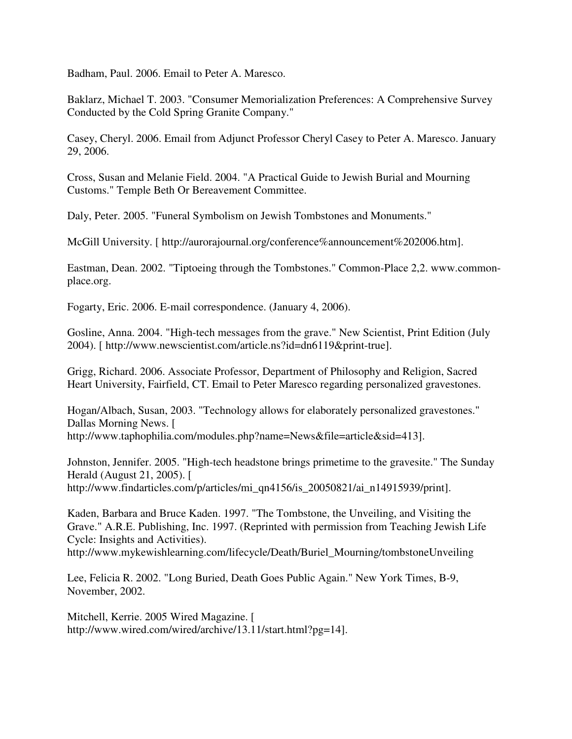Badham, Paul. 2006. Email to Peter A. Maresco.

Baklarz, Michael T. 2003. "Consumer Memorialization Preferences: A Comprehensive Survey Conducted by the Cold Spring Granite Company."

Casey, Cheryl. 2006. Email from Adjunct Professor Cheryl Casey to Peter A. Maresco. January 29, 2006.

Cross, Susan and Melanie Field. 2004. "A Practical Guide to Jewish Burial and Mourning Customs." Temple Beth Or Bereavement Committee.

Daly, Peter. 2005. "Funeral Symbolism on Jewish Tombstones and Monuments."

McGill University. [ http://aurorajournal.org/conference%announcement%202006.htm].

Eastman, Dean. 2002. "Tiptoeing through the Tombstones." Common-Place 2,2. www.commonplace.org.

Fogarty, Eric. 2006. E-mail correspondence. (January 4, 2006).

Gosline, Anna. 2004. "High-tech messages from the grave." New Scientist, Print Edition (July 2004). [ http://www.newscientist.com/article.ns?id=dn6119&print-true].

Grigg, Richard. 2006. Associate Professor, Department of Philosophy and Religion, Sacred Heart University, Fairfield, CT. Email to Peter Maresco regarding personalized gravestones.

Hogan/Albach, Susan, 2003. "Technology allows for elaborately personalized gravestones." Dallas Morning News. [ http://www.taphophilia.com/modules.php?name=News&file=article&sid=413].

Johnston, Jennifer. 2005. "High-tech headstone brings primetime to the gravesite." The Sunday Herald (August 21, 2005). [ http://www.findarticles.com/p/articles/mi\_qn4156/is\_20050821/ai\_n14915939/print].

Kaden, Barbara and Bruce Kaden. 1997. "The Tombstone, the Unveiling, and Visiting the Grave." A.R.E. Publishing, Inc. 1997. (Reprinted with permission from Teaching Jewish Life Cycle: Insights and Activities).

http://www.mykewishlearning.com/lifecycle/Death/Buriel\_Mourning/tombstoneUnveiling

Lee, Felicia R. 2002. "Long Buried, Death Goes Public Again." New York Times, B-9, November, 2002.

Mitchell, Kerrie. 2005 Wired Magazine. [ http://www.wired.com/wired/archive/13.11/start.html?pg=14].